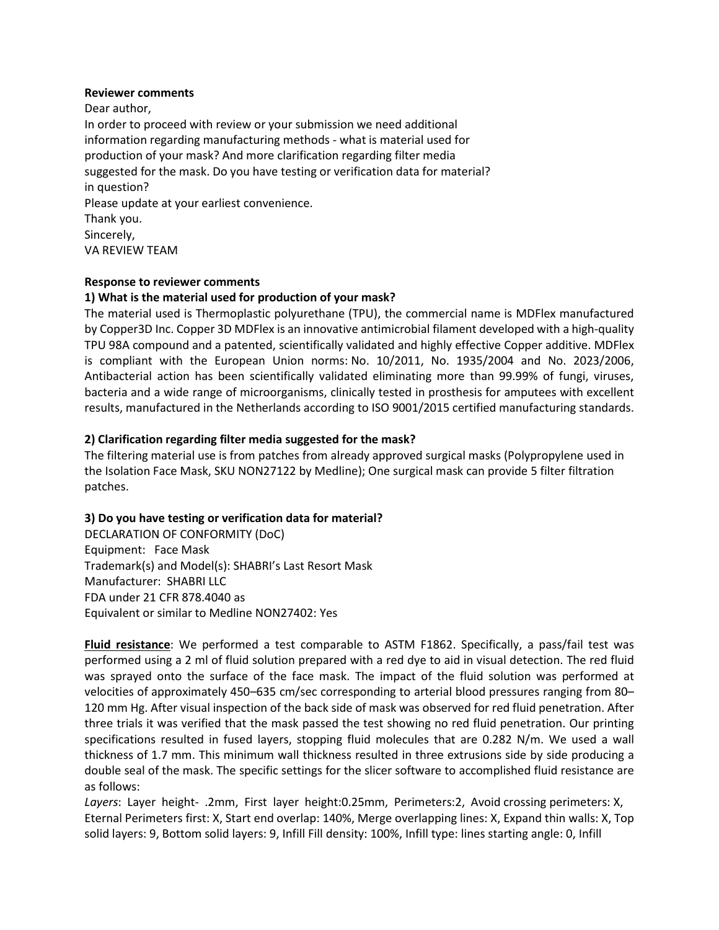## **Reviewer comments**

Dear author,

In order to proceed with review or your submission we need additional information regarding manufacturing methods - what is material used for production of your mask? And more clarification regarding filter media suggested for the mask. Do you have testing or verification data for material? in question? Please update at your earliest convenience. Thank you. Sincerely, VA REVIEW TEAM

# **Response to reviewer comments**

## **1) What is the material used for production of your mask?**

The material used is Thermoplastic polyurethane (TPU), the commercial name is MDFlex manufactured by Copper3D Inc. Copper 3D MDFlex is an innovative antimicrobial filament developed with a high-quality TPU 98A compound and a patented, scientifically validated and highly effective Copper additive. MDFlex is compliant with the European Union norms: No. 10/2011, No. 1935/2004 and No. 2023/2006, Antibacterial action has been scientifically validated eliminating more than 99.99% of fungi, viruses, bacteria and a wide range of microorganisms, clinically tested in prosthesis for amputees with excellent results, manufactured in the Netherlands according to ISO 9001/2015 certified manufacturing standards.

# **2) Clarification regarding filter media suggested for the mask?**

The filtering material use is from patches from already approved surgical masks (Polypropylene used in the Isolation Face Mask, SKU NON27122 by Medline); One surgical mask can provide 5 filter filtration patches.

# **3) Do you have testing or verification data for material?**

DECLARATION OF CONFORMITY (DoC) Equipment: Face Mask Trademark(s) and Model(s): SHABRI's Last Resort Mask Manufacturer: SHABRI LLC FDA under 21 CFR 878.4040 as Equivalent or similar to Medline NON27402: Yes

**Fluid resistance**: We performed a test comparable to ASTM F1862. Specifically, a pass/fail test was performed using a 2 ml of fluid solution prepared with a red dye to aid in visual detection. The red fluid was sprayed onto the surface of the face mask. The impact of the fluid solution was performed at velocities of approximately 450–635 cm/sec corresponding to arterial blood pressures ranging from 80– 120 mm Hg. After visual inspection of the back side of mask was observed for red fluid penetration. After three trials it was verified that the mask passed the test showing no red fluid penetration. Our printing specifications resulted in fused layers, stopping fluid molecules that are 0.282 N/m. We used a wall thickness of 1.7 mm. This minimum wall thickness resulted in three extrusions side by side producing a double seal of the mask. The specific settings for the slicer software to accomplished fluid resistance are as follows:

*Layers*: Layer height- .2mm, First layer height:0.25mm, Perimeters:2, Avoid crossing perimeters: X, Eternal Perimeters first: X, Start end overlap: 140%, Merge overlapping lines: X, Expand thin walls: X, Top solid layers: 9, Bottom solid layers: 9, Infill Fill density: 100%, Infill type: lines starting angle: 0, Infill